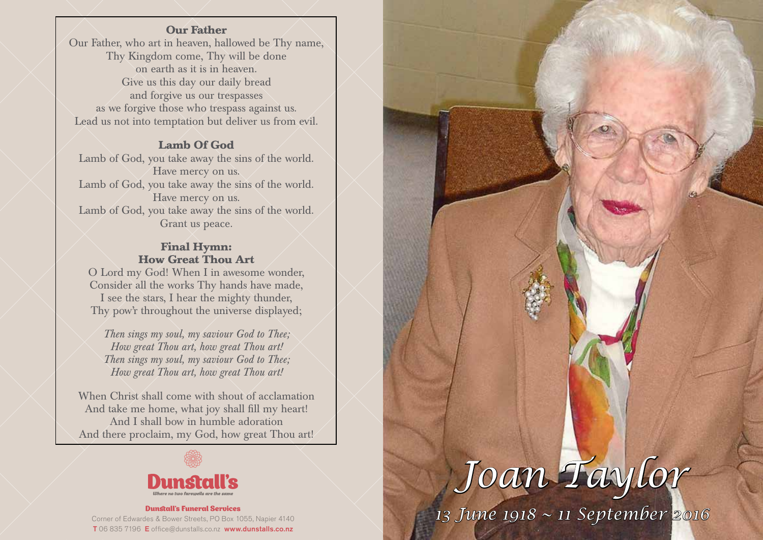### **Our Father**

Our Father, who art in heaven, hallowed be Thy name, Thy Kingdom come, Thy will be done on earth as it is in heaven. Give us this day our daily bread and forgive us our trespasses as we forgive those who trespass against us. Lead us not into temptation but deliver us from evil.

### **Lamb Of God**

Lamb of God, you take away the sins of the world. Have mercy on us. Lamb of God, you take away the sins of the world. Have mercy on us. Lamb of God, you take away the sins of the world. Grant us peace.

### **Final Hymn: How Great Thou Art**

O Lord my God! When I in awesome wonder, Consider all the works Thy hands have made, I see the stars, I hear the mighty thunder, Thy pow'r throughout the universe displayed;

*Then sings my soul, my saviour God to Thee; How great Thou art, how great Thou art! Then sings my soul, my saviour God to Thee; How great Thou art, how great Thou art!*

When Christ shall come with shout of acclamation And take me home, what joy shall fill my heart! And I shall bow in humble adoration And there proclaim, my God, how great Thou art!



#### Dunstall's Funeral Services Corner of Edwardes & Bower Streets, PO Box 1055, Napier 4140 T 06 835 7196 E office@dunstalls.co.nz www.dunstalls.co.nz

# *Joan Taylor 13 June 1918 ~ 11 September 2016*